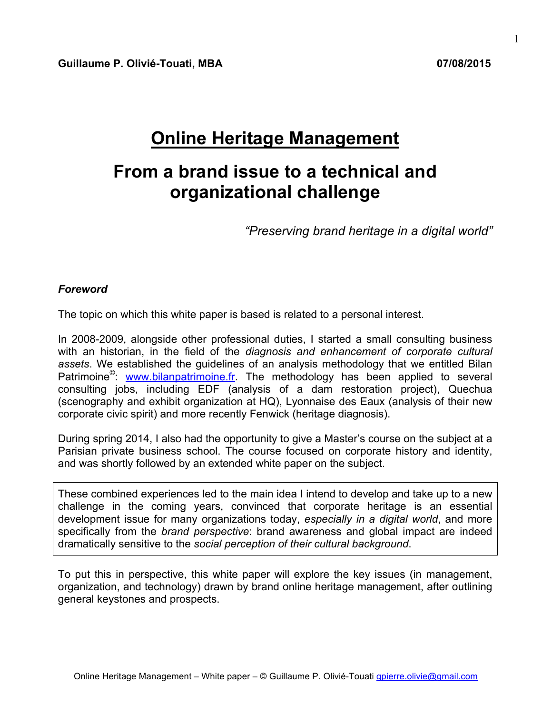# **Online Heritage Management**

# **From a brand issue to a technical and organizational challenge**

*"Preserving brand heritage in a digital world"*

#### *Foreword*

The topic on which this white paper is based is related to a personal interest.

In 2008-2009, alongside other professional duties, I started a small consulting business with an historian, in the field of the *diagnosis and enhancement of corporate cultural assets*. We established the guidelines of an analysis methodology that we entitled Bilan Patrimoine<sup>®</sup>: www.bilanpatrimoine.fr. The methodology has been applied to several consulting jobs, including EDF (analysis of a dam restoration project), Quechua (scenography and exhibit organization at HQ), Lyonnaise des Eaux (analysis of their new corporate civic spirit) and more recently Fenwick (heritage diagnosis).

During spring 2014, I also had the opportunity to give a Master's course on the subject at a Parisian private business school. The course focused on corporate history and identity, and was shortly followed by an extended white paper on the subject.

These combined experiences led to the main idea I intend to develop and take up to a new challenge in the coming years, convinced that corporate heritage is an essential development issue for many organizations today, *especially in a digital world*, and more specifically from the *brand perspective*: brand awareness and global impact are indeed dramatically sensitive to the *social perception of their cultural background*.

To put this in perspective, this white paper will explore the key issues (in management, organization, and technology) drawn by brand online heritage management, after outlining general keystones and prospects.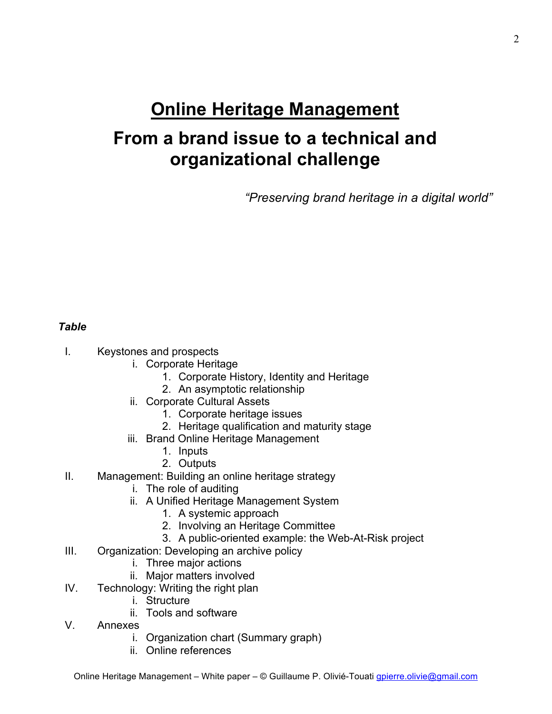# **Online Heritage Management**

# **From a brand issue to a technical and organizational challenge**

*"Preserving brand heritage in a digital world"*

### *Table*

- I. Keystones and prospects
	- i. Corporate Heritage
		- 1. Corporate History, Identity and Heritage
		- 2. An asymptotic relationship
	- ii. Corporate Cultural Assets
		- 1. Corporate heritage issues
		- 2. Heritage qualification and maturity stage
	- iii. Brand Online Heritage Management
		- 1. Inputs
		- 2. Outputs
- II. Management: Building an online heritage strategy
	- i. The role of auditing
	- ii. A Unified Heritage Management System
		- 1. A systemic approach
		- 2. Involving an Heritage Committee
		- 3. A public-oriented example: the Web-At-Risk project
- III. Organization: Developing an archive policy
	- i. Three major actions
	- ii. Major matters involved
- IV. Technology: Writing the right plan
	- i. Structure
	- ii. Tools and software
- V. Annexes
	- i. Organization chart (Summary graph)
	- ii. Online references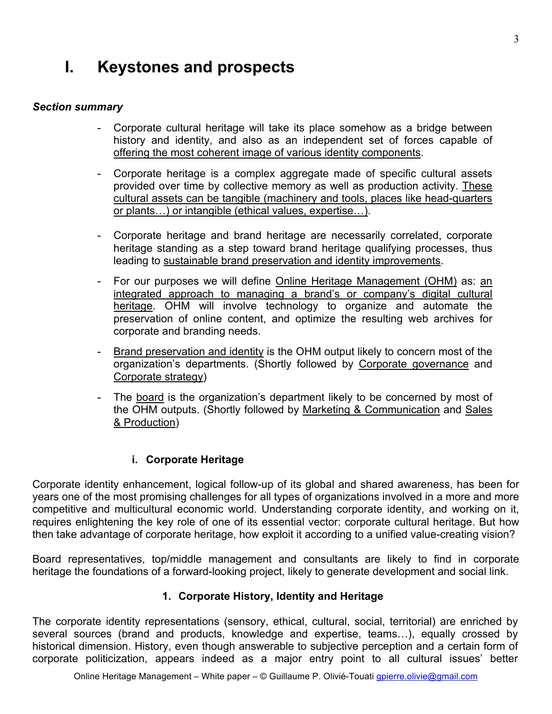# **I. Keystones and prospects**

#### *Section summary*

- Corporate cultural heritage will take its place somehow as a bridge between history and identity, and also as an independent set of forces capable of offering the most coherent image of various identity components.
- Corporate heritage is a complex aggregate made of specific cultural assets provided over time by collective memory as well as production activity. These cultural assets can be tangible (machinery and tools, places like head-quarters or plants…) or intangible (ethical values, expertise…).
- Corporate heritage and brand heritage are necessarily correlated, corporate heritage standing as a step toward brand heritage qualifying processes, thus leading to sustainable brand preservation and identity improvements.
- For our purposes we will define Online Heritage Management (OHM) as: an integrated approach to managing a brand's or company's digital cultural heritage. OHM will involve technology to organize and automate the preservation of online content, and optimize the resulting web archives for corporate and branding needs.
- Brand preservation and identity is the OHM output likely to concern most of the organization's departments. (Shortly followed by Corporate governance and Corporate strategy)
- The board is the organization's department likely to be concerned by most of the OHM outputs. (Shortly followed by Marketing & Communication and Sales & Production)

### **i. Corporate Heritage**

Corporate identity enhancement, logical follow-up of its global and shared awareness, has been for years one of the most promising challenges for all types of organizations involved in a more and more competitive and multicultural economic world. Understanding corporate identity, and working on it, requires enlightening the key role of one of its essential vector: corporate cultural heritage. But how then take advantage of corporate heritage, how exploit it according to a unified value-creating vision?

Board representatives, top/middle management and consultants are likely to find in corporate heritage the foundations of a forward-looking project, likely to generate development and social link.

### **1. Corporate History, Identity and Heritage**

The corporate identity representations (sensory, ethical, cultural, social, territorial) are enriched by several sources (brand and products, knowledge and expertise, teams…), equally crossed by historical dimension. History, even though answerable to subjective perception and a certain form of corporate politicization, appears indeed as a major entry point to all cultural issues' better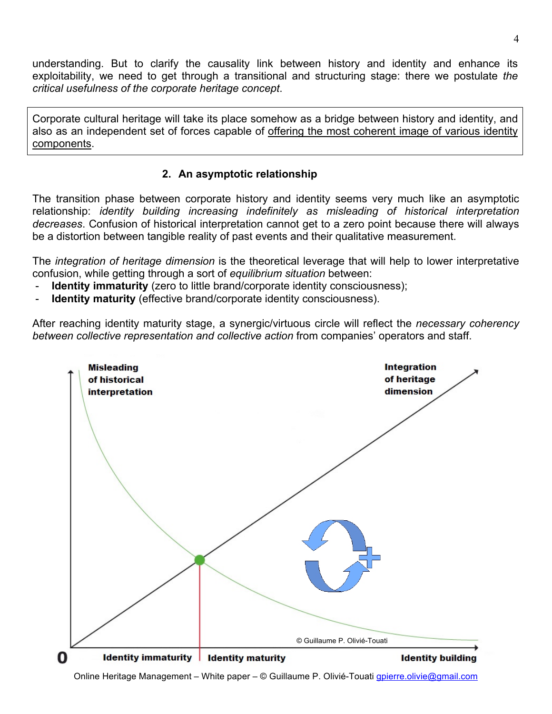understanding. But to clarify the causality link between history and identity and enhance its exploitability, we need to get through a transitional and structuring stage: there we postulate *the critical usefulness of the corporate heritage concept*.

Corporate cultural heritage will take its place somehow as a bridge between history and identity, and also as an independent set of forces capable of offering the most coherent image of various identity components.

### **2. An asymptotic relationship**

The transition phase between corporate history and identity seems very much like an asymptotic relationship: *identity building increasing indefinitely as misleading of historical interpretation decreases*. Confusion of historical interpretation cannot get to a zero point because there will always be a distortion between tangible reality of past events and their qualitative measurement.

The *integration of heritage dimension* is the theoretical leverage that will help to lower interpretative confusion, while getting through a sort of *equilibrium situation* between:

- **Identity immaturity** (zero to little brand/corporate identity consciousness);
- **Identity maturity** (effective brand/corporate identity consciousness).

After reaching identity maturity stage, a synergic/virtuous circle will reflect the *necessary coherency between collective representation and collective action* from companies' operators and staff.



Online Heritage Management – White paper – © Guillaume P. Olivié-Touati gpierre.olivie@gmail.com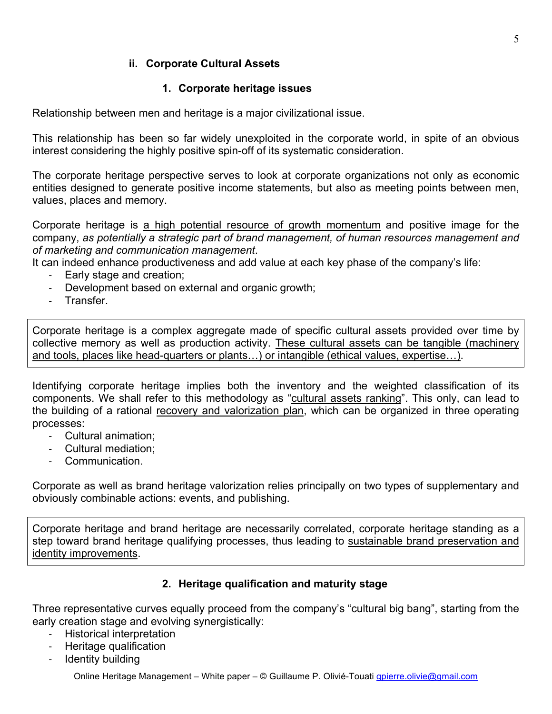### **ii. Corporate Cultural Assets**

# **1. Corporate heritage issues**

Relationship between men and heritage is a major civilizational issue.

This relationship has been so far widely unexploited in the corporate world, in spite of an obvious interest considering the highly positive spin-off of its systematic consideration.

The corporate heritage perspective serves to look at corporate organizations not only as economic entities designed to generate positive income statements, but also as meeting points between men, values, places and memory.

Corporate heritage is a high potential resource of growth momentum and positive image for the company, *as potentially a strategic part of brand management, of human resources management and of marketing and communication management*.

It can indeed enhance productiveness and add value at each key phase of the company's life:

- Early stage and creation;
- Development based on external and organic growth;
- Transfer.

Corporate heritage is a complex aggregate made of specific cultural assets provided over time by collective memory as well as production activity. These cultural assets can be tangible (machinery and tools, places like head-quarters or plants…) or intangible (ethical values, expertise…).

Identifying corporate heritage implies both the inventory and the weighted classification of its components. We shall refer to this methodology as "cultural assets ranking". This only, can lead to the building of a rational recovery and valorization plan, which can be organized in three operating processes:

- Cultural animation;
- Cultural mediation;
- Communication.

Corporate as well as brand heritage valorization relies principally on two types of supplementary and obviously combinable actions: events, and publishing.

Corporate heritage and brand heritage are necessarily correlated, corporate heritage standing as a step toward brand heritage qualifying processes, thus leading to sustainable brand preservation and identity improvements.

# **2. Heritage qualification and maturity stage**

Three representative curves equally proceed from the company's "cultural big bang", starting from the early creation stage and evolving synergistically:

- Historical interpretation
- Heritage qualification
- Identity building

Online Heritage Management – White paper – © Guillaume P. Olivié-Touati gpierre.olivie@gmail.com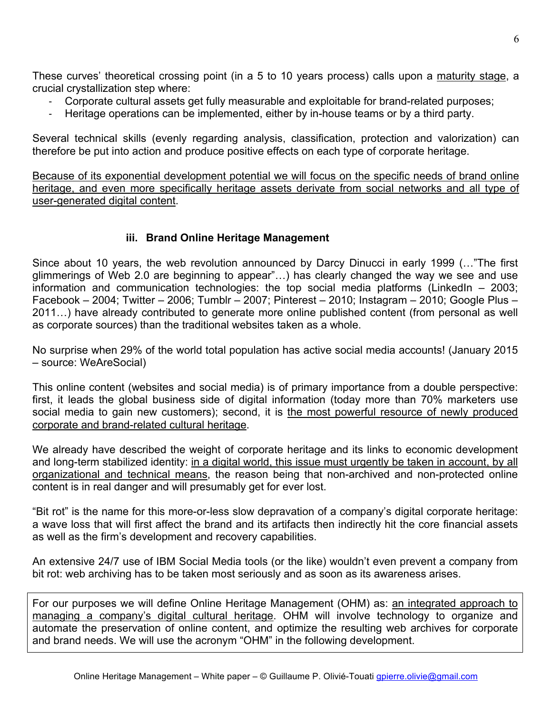These curves' theoretical crossing point (in a 5 to 10 years process) calls upon a maturity stage, a crucial crystallization step where:

- Corporate cultural assets get fully measurable and exploitable for brand-related purposes;
- Heritage operations can be implemented, either by in-house teams or by a third party.

Several technical skills (evenly regarding analysis, classification, protection and valorization) can therefore be put into action and produce positive effects on each type of corporate heritage.

Because of its exponential development potential we will focus on the specific needs of brand online heritage, and even more specifically heritage assets derivate from social networks and all type of user-generated digital content.

### **iii. Brand Online Heritage Management**

Since about 10 years, the web revolution announced by Darcy Dinucci in early 1999 (…"The first glimmerings of Web 2.0 are beginning to appear"…) has clearly changed the way we see and use information and communication technologies: the top social media platforms (LinkedIn – 2003; Facebook – 2004; Twitter – 2006; Tumblr – 2007; Pinterest – 2010; Instagram – 2010; Google Plus – 2011…) have already contributed to generate more online published content (from personal as well as corporate sources) than the traditional websites taken as a whole.

No surprise when 29% of the world total population has active social media accounts! (January 2015 – source: WeAreSocial)

This online content (websites and social media) is of primary importance from a double perspective: first, it leads the global business side of digital information (today more than 70% marketers use social media to gain new customers); second, it is the most powerful resource of newly produced corporate and brand-related cultural heritage.

We already have described the weight of corporate heritage and its links to economic development and long-term stabilized identity: in a digital world, this issue must urgently be taken in account, by all organizational and technical means, the reason being that non-archived and non-protected online content is in real danger and will presumably get for ever lost.

"Bit rot" is the name for this more-or-less slow depravation of a company's digital corporate heritage: a wave loss that will first affect the brand and its artifacts then indirectly hit the core financial assets as well as the firm's development and recovery capabilities.

An extensive 24/7 use of IBM Social Media tools (or the like) wouldn't even prevent a company from bit rot: web archiving has to be taken most seriously and as soon as its awareness arises.

For our purposes we will define Online Heritage Management (OHM) as: an integrated approach to managing a company's digital cultural heritage. OHM will involve technology to organize and automate the preservation of online content, and optimize the resulting web archives for corporate and brand needs. We will use the acronym "OHM" in the following development.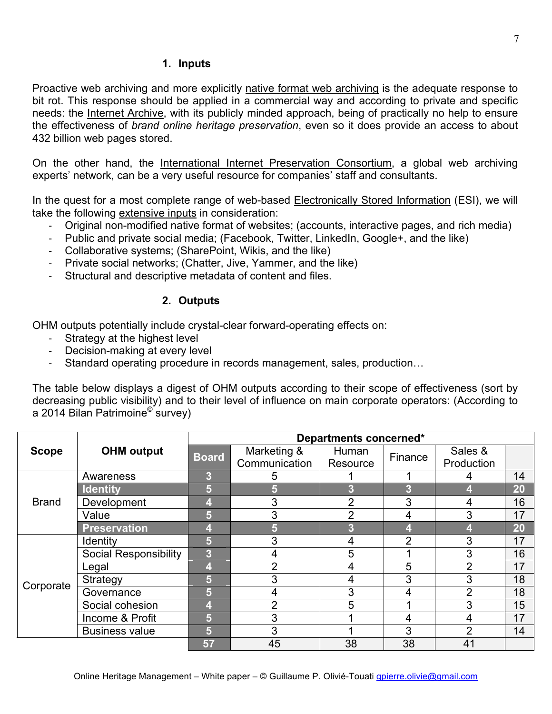### **1. Inputs**

Proactive web archiving and more explicitly native format web archiving is the adequate response to bit rot. This response should be applied in a commercial way and according to private and specific needs: the Internet Archive, with its publicly minded approach, being of practically no help to ensure the effectiveness of *brand online heritage preservation*, even so it does provide an access to about 432 billion web pages stored.

On the other hand, the International Internet Preservation Consortium, a global web archiving experts' network, can be a very useful resource for companies' staff and consultants.

In the quest for a most complete range of web-based Electronically Stored Information (ESI), we will take the following extensive inputs in consideration:

- Original non-modified native format of websites; (accounts, interactive pages, and rich media)
- Public and private social media; (Facebook, Twitter, LinkedIn, Google+, and the like)
- Collaborative systems; (SharePoint, Wikis, and the like)
- Private social networks; (Chatter, Jive, Yammer, and the like)
- Structural and descriptive metadata of content and files.

### **2. Outputs**

OHM outputs potentially include crystal-clear forward-operating effects on:

- Strategy at the highest level
- Decision-making at every level
- Standard operating procedure in records management, sales, production…

The table below displays a digest of OHM outputs according to their scope of effectiveness (sort by decreasing public visibility) and to their level of influence on main corporate operators: (According to a 2014 Bilan Patrimoine© survey)

|              | <b>OHM</b> output            | Departments concerned* |                |                |                |                |    |
|--------------|------------------------------|------------------------|----------------|----------------|----------------|----------------|----|
| <b>Scope</b> |                              | <b>Board</b>           | Marketing &    | Human          | Finance        | Sales &        |    |
|              |                              |                        | Communication  | Resource       |                | Production     |    |
| <b>Brand</b> | Awareness                    | 3                      | 5              |                |                |                | 14 |
|              | <b>Identity</b>              | 5                      | 5              | 3              | 3              |                | 20 |
|              | Development                  | 4                      | 3              | $\overline{2}$ | 3              | 4              | 16 |
|              | Value                        | 5                      | 3              | 2              | 4              | 3              | 17 |
|              | <b>Preservation</b>          | 41                     | 5              | 3              | 4              |                | 20 |
| Corporate    | <b>Identity</b>              | 5                      | 3              | 4              | $\overline{2}$ | 3              | 17 |
|              | <b>Social Responsibility</b> | 3                      | 4              | 5              |                | 3              | 16 |
|              | Legal                        | 4                      | $\overline{2}$ | 4              | 5              | $\overline{2}$ | 17 |
|              | Strategy                     | 5                      | 3              | 4              | 3              | 3              | 18 |
|              | Governance                   | 5                      | 4              | 3              | 4              | $\overline{2}$ | 18 |
|              | Social cohesion              | 4                      | $\overline{2}$ | 5              |                | 3              | 15 |
|              | Income & Profit              | 5                      | 3              |                | 4              | 4              | 17 |
|              | <b>Business value</b>        | 5                      | 3              |                | 3              | 2              | 14 |
|              |                              | 57                     | 45             | 38             | 38             | 41             |    |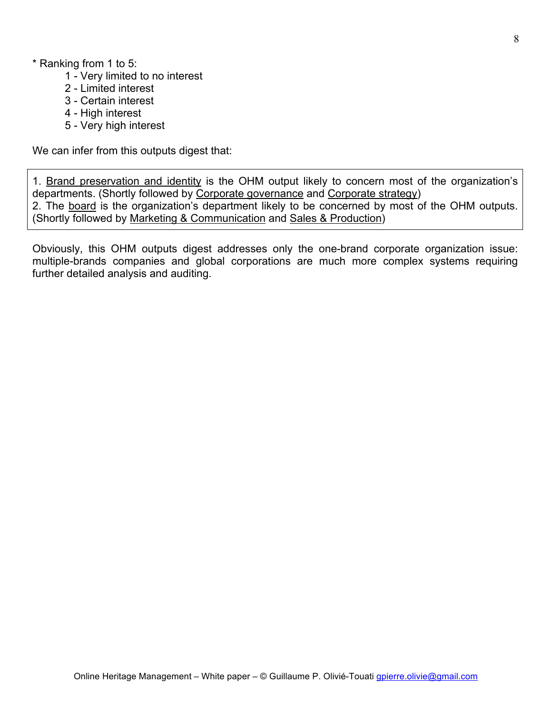- 1 Very limited to no interest
- 2 Limited interest
- 3 Certain interest
- 4 High interest
- 5 Very high interest

We can infer from this outputs digest that:

1. Brand preservation and identity is the OHM output likely to concern most of the organization's departments. (Shortly followed by Corporate governance and Corporate strategy) 2. The board is the organization's department likely to be concerned by most of the OHM outputs. (Shortly followed by Marketing & Communication and Sales & Production)

Obviously, this OHM outputs digest addresses only the one-brand corporate organization issue: multiple-brands companies and global corporations are much more complex systems requiring further detailed analysis and auditing.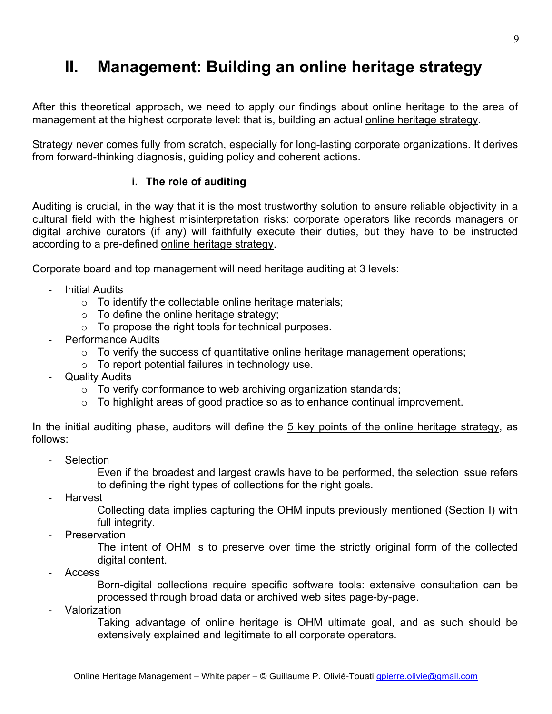# **II. Management: Building an online heritage strategy**

After this theoretical approach, we need to apply our findings about online heritage to the area of management at the highest corporate level: that is, building an actual online heritage strategy.

Strategy never comes fully from scratch, especially for long-lasting corporate organizations. It derives from forward-thinking diagnosis, guiding policy and coherent actions.

### **i. The role of auditing**

Auditing is crucial, in the way that it is the most trustworthy solution to ensure reliable objectivity in a cultural field with the highest misinterpretation risks: corporate operators like records managers or digital archive curators (if any) will faithfully execute their duties, but they have to be instructed according to a pre-defined online heritage strategy.

Corporate board and top management will need heritage auditing at 3 levels:

- Initial Audits
	- $\circ$  To identify the collectable online heritage materials;
	- $\circ$  To define the online heritage strategy;
	- o To propose the right tools for technical purposes.
- Performance Audits
	- $\circ$  To verify the success of quantitative online heritage management operations;
	- $\circ$  To report potential failures in technology use.
- Quality Audits
	- $\circ$  To verify conformance to web archiving organization standards;
	- o To highlight areas of good practice so as to enhance continual improvement.

In the initial auditing phase, auditors will define the 5 key points of the online heritage strategy, as follows:

Selection

Even if the broadest and largest crawls have to be performed, the selection issue refers to defining the right types of collections for the right goals.

**Harvest** 

Collecting data implies capturing the OHM inputs previously mentioned (Section I) with full integrity.

**Preservation** 

The intent of OHM is to preserve over time the strictly original form of the collected digital content.

- Access

Born-digital collections require specific software tools: extensive consultation can be processed through broad data or archived web sites page-by-page.

**Valorization** 

Taking advantage of online heritage is OHM ultimate goal, and as such should be extensively explained and legitimate to all corporate operators.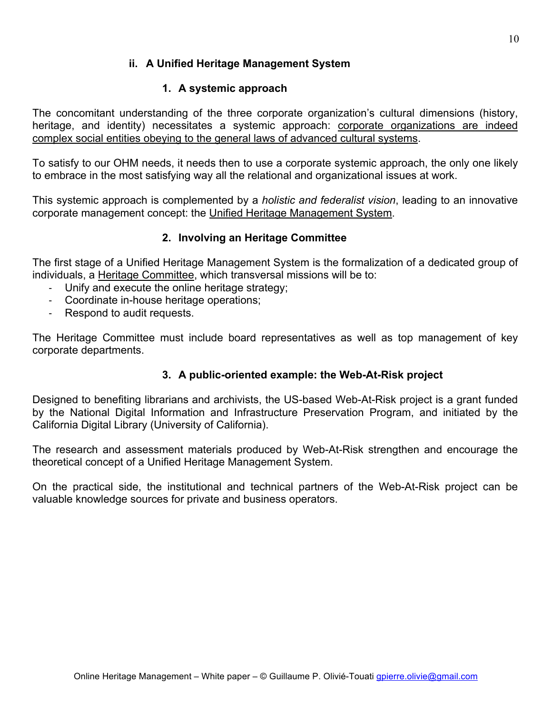### **ii. A Unified Heritage Management System**

### **1. A systemic approach**

The concomitant understanding of the three corporate organization's cultural dimensions (history, heritage, and identity) necessitates a systemic approach: corporate organizations are indeed complex social entities obeying to the general laws of advanced cultural systems.

To satisfy to our OHM needs, it needs then to use a corporate systemic approach, the only one likely to embrace in the most satisfying way all the relational and organizational issues at work.

This systemic approach is complemented by a *holistic and federalist vision*, leading to an innovative corporate management concept: the Unified Heritage Management System.

### **2. Involving an Heritage Committee**

The first stage of a Unified Heritage Management System is the formalization of a dedicated group of individuals, a Heritage Committee, which transversal missions will be to:

- Unify and execute the online heritage strategy;
- Coordinate in-house heritage operations;
- Respond to audit requests.

The Heritage Committee must include board representatives as well as top management of key corporate departments.

### **3. A public-oriented example: the Web-At-Risk project**

Designed to benefiting librarians and archivists, the US-based Web-At-Risk project is a grant funded by the National Digital Information and Infrastructure Preservation Program, and initiated by the California Digital Library (University of California).

The research and assessment materials produced by Web-At-Risk strengthen and encourage the theoretical concept of a Unified Heritage Management System.

On the practical side, the institutional and technical partners of the Web-At-Risk project can be valuable knowledge sources for private and business operators.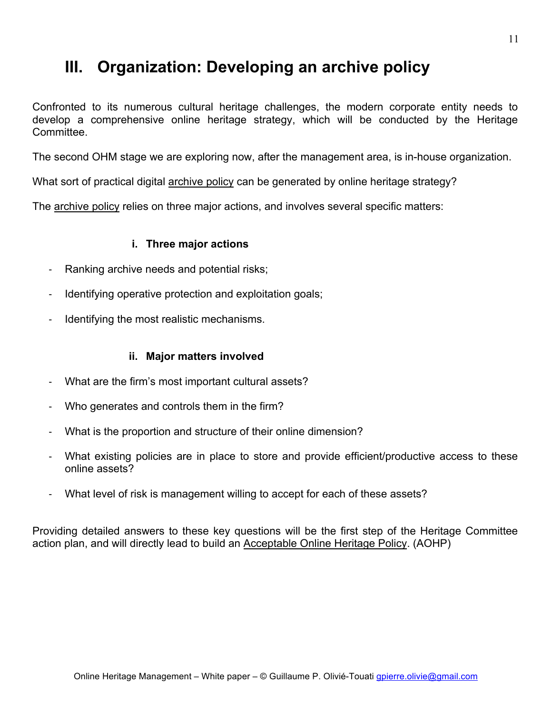# **III. Organization: Developing an archive policy**

Confronted to its numerous cultural heritage challenges, the modern corporate entity needs to develop a comprehensive online heritage strategy, which will be conducted by the Heritage Committee.

The second OHM stage we are exploring now, after the management area, is in-house organization.

What sort of practical digital archive policy can be generated by online heritage strategy?

The archive policy relies on three major actions, and involves several specific matters:

### **i. Three major actions**

- Ranking archive needs and potential risks;
- Identifying operative protection and exploitation goals;
- Identifying the most realistic mechanisms.

### **ii. Major matters involved**

- What are the firm's most important cultural assets?
- Who generates and controls them in the firm?
- What is the proportion and structure of their online dimension?
- What existing policies are in place to store and provide efficient/productive access to these online assets?
- What level of risk is management willing to accept for each of these assets?

Providing detailed answers to these key questions will be the first step of the Heritage Committee action plan, and will directly lead to build an Acceptable Online Heritage Policy. (AOHP)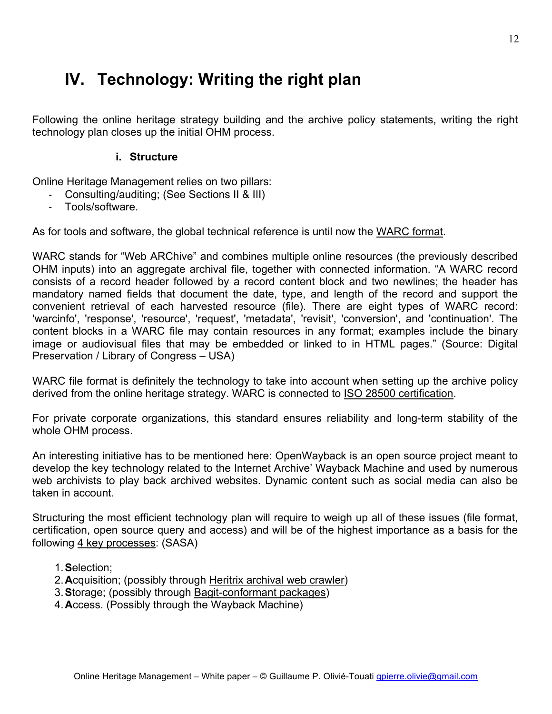# **IV. Technology: Writing the right plan**

Following the online heritage strategy building and the archive policy statements, writing the right technology plan closes up the initial OHM process.

### **i. Structure**

Online Heritage Management relies on two pillars:

- Consulting/auditing; (See Sections II & III)
- Tools/software.

As for tools and software, the global technical reference is until now the WARC format.

WARC stands for "Web ARChive" and combines multiple online resources (the previously described OHM inputs) into an aggregate archival file, together with connected information. "A WARC record consists of a record header followed by a record content block and two newlines; the header has mandatory named fields that document the date, type, and length of the record and support the convenient retrieval of each harvested resource (file). There are eight types of WARC record: 'warcinfo', 'response', 'resource', 'request', 'metadata', 'revisit', 'conversion', and 'continuation'. The content blocks in a WARC file may contain resources in any format; examples include the binary image or audiovisual files that may be embedded or linked to in HTML pages." (Source: Digital Preservation / Library of Congress – USA)

WARC file format is definitely the technology to take into account when setting up the archive policy derived from the online heritage strategy. WARC is connected to ISO 28500 certification.

For private corporate organizations, this standard ensures reliability and long-term stability of the whole OHM process.

An interesting initiative has to be mentioned here: OpenWayback is an open source project meant to develop the key technology related to the Internet Archive' Wayback Machine and used by numerous web archivists to play back archived websites. Dynamic content such as social media can also be taken in account.

Structuring the most efficient technology plan will require to weigh up all of these issues (file format, certification, open source query and access) and will be of the highest importance as a basis for the following 4 key processes: (SASA)

- 1.**S**election;
- 2.**A**cquisition; (possibly through Heritrix archival web crawler)
- 3.**S**torage; (possibly through Bagit-conformant packages)
- 4.**A**ccess. (Possibly through the Wayback Machine)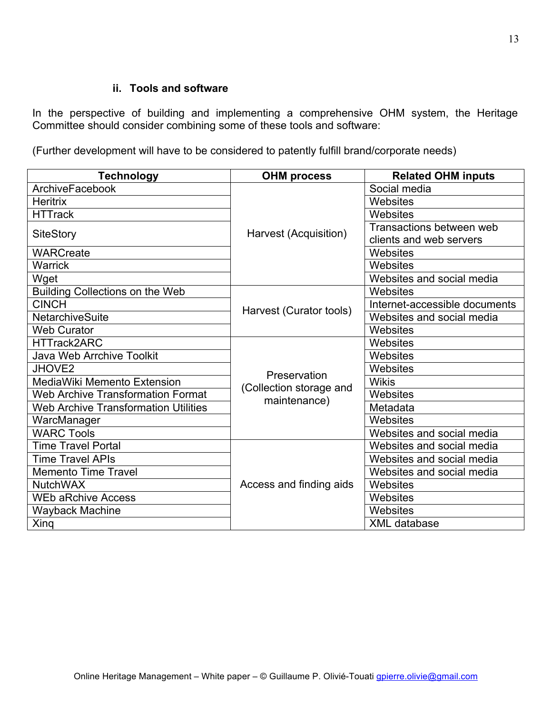#### **ii. Tools and software**

In the perspective of building and implementing a comprehensive OHM system, the Heritage Committee should consider combining some of these tools and software:

(Further development will have to be considered to patently fulfill brand/corporate needs)

| <b>Technology</b>                           | <b>OHM process</b>      | <b>Related OHM inputs</b>     |
|---------------------------------------------|-------------------------|-------------------------------|
| ArchiveFacebook                             |                         | Social media                  |
| <b>Heritrix</b>                             |                         | Websites                      |
| <b>HTTrack</b>                              |                         | Websites                      |
|                                             | Harvest (Acquisition)   | Transactions between web      |
| <b>SiteStory</b>                            |                         | clients and web servers       |
| <b>WARCreate</b>                            |                         | Websites                      |
| <b>Warrick</b>                              |                         | Websites                      |
| Wget                                        |                         | Websites and social media     |
| <b>Building Collections on the Web</b>      |                         | Websites                      |
| <b>CINCH</b>                                | Harvest (Curator tools) | Internet-accessible documents |
| <b>NetarchiveSuite</b>                      |                         | Websites and social media     |
| <b>Web Curator</b>                          |                         | Websites                      |
| <b>HTTrack2ARC</b>                          |                         | Websites                      |
| <b>Java Web Arrchive Toolkit</b>            |                         | Websites                      |
| <b>JHOVE2</b>                               | Preservation            | Websites                      |
| MediaWiki Memento Extension                 | (Collection storage and | <b>Wikis</b>                  |
| <b>Web Archive Transformation Format</b>    | maintenance)            | Websites                      |
| <b>Web Archive Transformation Utilities</b> |                         | Metadata                      |
| WarcManager                                 |                         | Websites                      |
| <b>WARC Tools</b>                           |                         | Websites and social media     |
| <b>Time Travel Portal</b>                   |                         | Websites and social media     |
| <b>Time Travel APIs</b>                     |                         | Websites and social media     |
| <b>Memento Time Travel</b>                  |                         | Websites and social media     |
| <b>NutchWAX</b>                             | Access and finding aids | Websites                      |
| <b>WEb aRchive Access</b>                   |                         | Websites                      |
| <b>Wayback Machine</b>                      |                         | Websites                      |
| Xing                                        |                         | <b>XML</b> database           |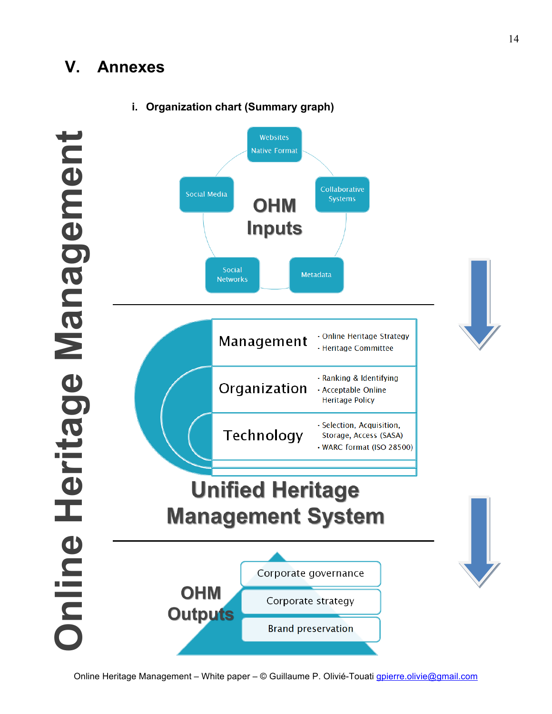# **V. Annexes**



### **i. Organization chart (Summary graph)**